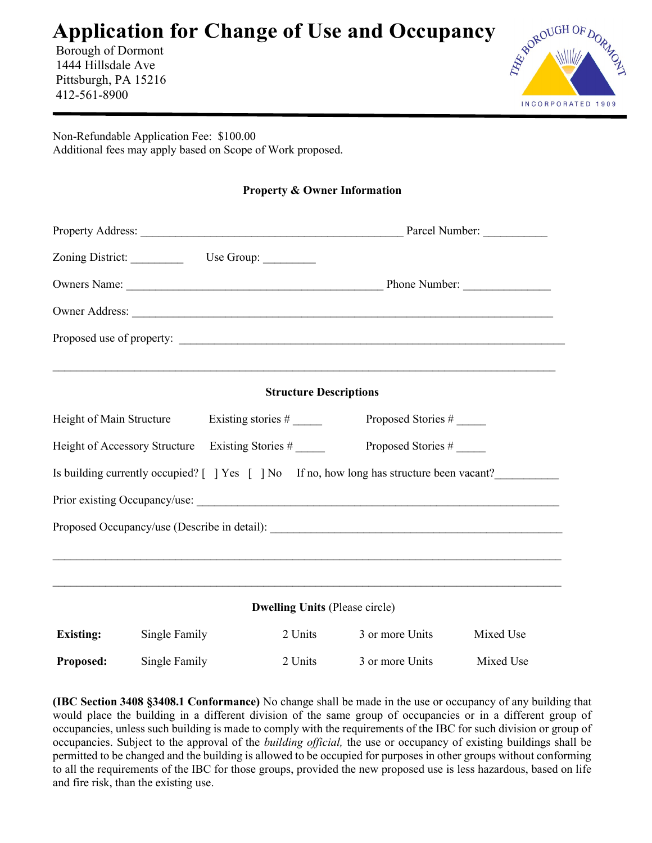# Application for Change of Use and Occupancy<br>Borough of Dormont<br>1444 Hillsdale Ave<br>Pittsburgh Did 17

 Borough of Dormont 1444 Hillsdale Ave Pittsburgh, PA 15216 412-561-8900



Non-Refundable Application Fee: \$100.00 Additional fees may apply based on Scope of Work proposed.

|                                                  |               |  |                                       | <b>Property &amp; Owner Information</b>                                                   |                    |  |
|--------------------------------------------------|---------------|--|---------------------------------------|-------------------------------------------------------------------------------------------|--------------------|--|
|                                                  |               |  |                                       |                                                                                           |                    |  |
|                                                  |               |  |                                       |                                                                                           |                    |  |
|                                                  |               |  |                                       |                                                                                           |                    |  |
|                                                  |               |  |                                       |                                                                                           |                    |  |
|                                                  |               |  |                                       |                                                                                           |                    |  |
|                                                  |               |  | <b>Structure Descriptions</b>         |                                                                                           |                    |  |
| Height of Main Structure                         |               |  |                                       |                                                                                           | Proposed Stories # |  |
| Height of Accessory Structure Existing Stories # |               |  |                                       | Proposed Stories #                                                                        |                    |  |
|                                                  |               |  |                                       | Is building currently occupied? [ ] Yes [ ] No If no, how long has structure been vacant? |                    |  |
|                                                  |               |  |                                       |                                                                                           |                    |  |
|                                                  |               |  |                                       | Proposed Occupancy/use (Describe in detail):                                              |                    |  |
|                                                  |               |  |                                       |                                                                                           |                    |  |
|                                                  |               |  |                                       | ,我们也不能在这里的人,我们也不能在这里的人,我们也不能在这里的人,我们也不能在这里的人,我们也不能在这里的人,我们也不能在这里的人,我们也不能在这里的人,我们也         |                    |  |
|                                                  |               |  | <b>Dwelling Units (Please circle)</b> |                                                                                           |                    |  |
| <b>Existing:</b>                                 | Single Family |  | 2 Units                               | 3 or more Units                                                                           | Mixed Use          |  |
| Proposed:                                        | Single Family |  | 2 Units                               | 3 or more Units                                                                           | Mixed Use          |  |

(IBC Section 3408 §3408.1 Conformance) No change shall be made in the use or occupancy of any building that would place the building in a different division of the same group of occupancies or in a different group of occupancies, unless such building is made to comply with the requirements of the IBC for such division or group of occupancies. Subject to the approval of the building official, the use or occupancy of existing buildings shall be permitted to be changed and the building is allowed to be occupied for purposes in other groups without conforming to all the requirements of the IBC for those groups, provided the new proposed use is less hazardous, based on life and fire risk, than the existing use.